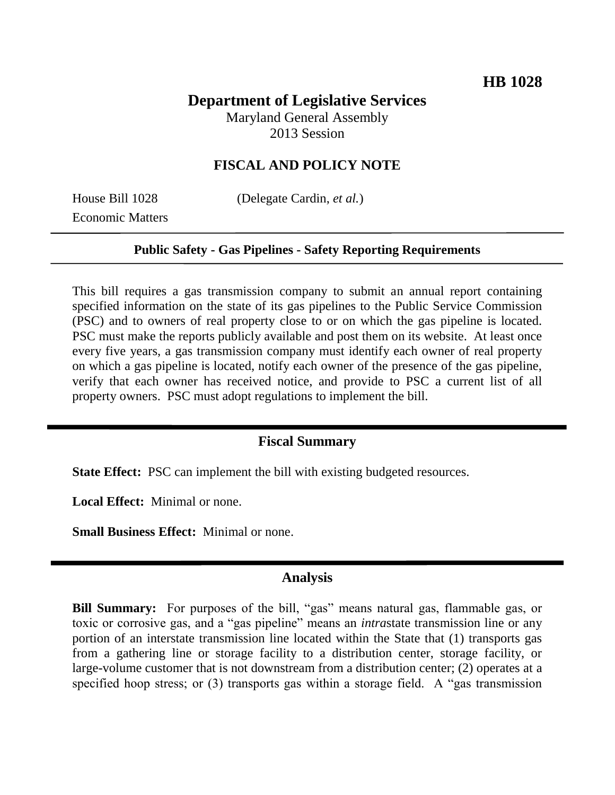# **Department of Legislative Services**

Maryland General Assembly 2013 Session

## **FISCAL AND POLICY NOTE**

Economic Matters

House Bill 1028 (Delegate Cardin, *et al.*)

#### **Public Safety - Gas Pipelines - Safety Reporting Requirements**

This bill requires a gas transmission company to submit an annual report containing specified information on the state of its gas pipelines to the Public Service Commission (PSC) and to owners of real property close to or on which the gas pipeline is located. PSC must make the reports publicly available and post them on its website. At least once every five years, a gas transmission company must identify each owner of real property on which a gas pipeline is located, notify each owner of the presence of the gas pipeline, verify that each owner has received notice, and provide to PSC a current list of all property owners. PSC must adopt regulations to implement the bill.

### **Fiscal Summary**

**State Effect:** PSC can implement the bill with existing budgeted resources.

**Local Effect:** Minimal or none.

**Small Business Effect:** Minimal or none.

### **Analysis**

**Bill Summary:** For purposes of the bill, "gas" means natural gas, flammable gas, or toxic or corrosive gas, and a "gas pipeline" means an *intra*state transmission line or any portion of an interstate transmission line located within the State that (1) transports gas from a gathering line or storage facility to a distribution center, storage facility, or large-volume customer that is not downstream from a distribution center; (2) operates at a specified hoop stress; or (3) transports gas within a storage field. A "gas transmission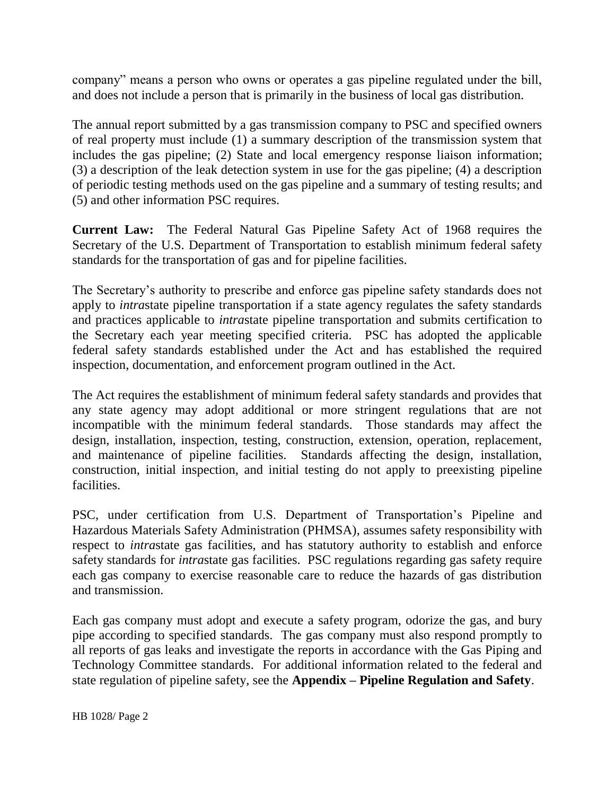company" means a person who owns or operates a gas pipeline regulated under the bill, and does not include a person that is primarily in the business of local gas distribution.

The annual report submitted by a gas transmission company to PSC and specified owners of real property must include (1) a summary description of the transmission system that includes the gas pipeline; (2) State and local emergency response liaison information; (3) a description of the leak detection system in use for the gas pipeline; (4) a description of periodic testing methods used on the gas pipeline and a summary of testing results; and (5) and other information PSC requires.

**Current Law:** The Federal Natural Gas Pipeline Safety Act of 1968 requires the Secretary of the U.S. Department of Transportation to establish minimum federal safety standards for the transportation of gas and for pipeline facilities.

The Secretary's authority to prescribe and enforce gas pipeline safety standards does not apply to *intra*state pipeline transportation if a state agency regulates the safety standards and practices applicable to *intra*state pipeline transportation and submits certification to the Secretary each year meeting specified criteria. PSC has adopted the applicable federal safety standards established under the Act and has established the required inspection, documentation, and enforcement program outlined in the Act.

The Act requires the establishment of minimum federal safety standards and provides that any state agency may adopt additional or more stringent regulations that are not incompatible with the minimum federal standards. Those standards may affect the design, installation, inspection, testing, construction, extension, operation, replacement, and maintenance of pipeline facilities. Standards affecting the design, installation, construction, initial inspection, and initial testing do not apply to preexisting pipeline facilities.

PSC, under certification from U.S. Department of Transportation's Pipeline and Hazardous Materials Safety Administration (PHMSA), assumes safety responsibility with respect to *intra*state gas facilities, and has statutory authority to establish and enforce safety standards for *intra*state gas facilities. PSC regulations regarding gas safety require each gas company to exercise reasonable care to reduce the hazards of gas distribution and transmission.

Each gas company must adopt and execute a safety program, odorize the gas, and bury pipe according to specified standards. The gas company must also respond promptly to all reports of gas leaks and investigate the reports in accordance with the Gas Piping and Technology Committee standards. For additional information related to the federal and state regulation of pipeline safety, see the **Appendix – Pipeline Regulation and Safety**.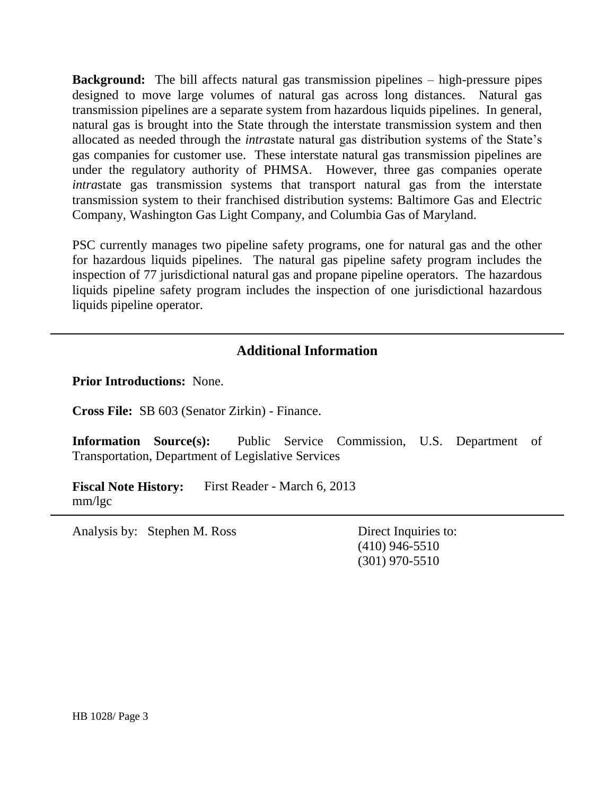**Background:** The bill affects natural gas transmission pipelines – high-pressure pipes designed to move large volumes of natural gas across long distances. Natural gas transmission pipelines are a separate system from hazardous liquids pipelines. In general, natural gas is brought into the State through the interstate transmission system and then allocated as needed through the *intra*state natural gas distribution systems of the State's gas companies for customer use. These interstate natural gas transmission pipelines are under the regulatory authority of PHMSA. However, three gas companies operate *intra*state gas transmission systems that transport natural gas from the interstate transmission system to their franchised distribution systems: Baltimore Gas and Electric Company, Washington Gas Light Company, and Columbia Gas of Maryland.

PSC currently manages two pipeline safety programs, one for natural gas and the other for hazardous liquids pipelines. The natural gas pipeline safety program includes the inspection of 77 jurisdictional natural gas and propane pipeline operators. The hazardous liquids pipeline safety program includes the inspection of one jurisdictional hazardous liquids pipeline operator.

## **Additional Information**

**Prior Introductions:** None.

**Cross File:** SB 603 (Senator Zirkin) - Finance.

**Information Source(s):** Public Service Commission, U.S. Department of Transportation, Department of Legislative Services

**Fiscal Note History:** First Reader - March 6, 2013 mm/lgc

Analysis by: Stephen M. Ross Direct Inquiries to:

(410) 946-5510 (301) 970-5510